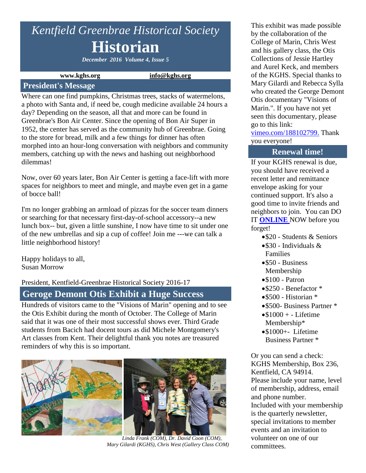# *Kentfield Greenbrae Historical Society* **Historian**

*December 2016 Volume 4, Issue 5*

#### **www.kghs.org [info@kghs.org](mailto:info@kghs.org)**

#### **President's Message**

Where can one find pumpkins, Christmas trees, stacks of watermelons, a photo with Santa and, if need be, cough medicine available 24 hours a day? Depending on the season, all that and more can be found in Greenbrae's Bon Air Center. Since the opening of Bon Air Super in 1952, the center has served as the community hub of Greenbrae. Going to the store for bread, milk and a few things for dinner has often morphed into an hour-long conversation with neighbors and community members, catching up with the news and hashing out neighborhood dilemmas!

Now, over 60 years later, Bon Air Center is getting a face-lift with more spaces for neighbors to meet and mingle, and maybe even get in a game of bocce ball!

I'm no longer grabbing an armload of pizzas for the soccer team dinners or searching for that necessary first-day-of-school accessory--a new lunch box-- but, given a little sunshine, I now have time to sit under one of the new umbrellas and sip a cup of coffee! Join me ---we can talk a little neighborhood history!

Happy holidays to all, Susan Morrow

President, Kentfield-Greenbrae Historical Society 2016-17

# **Geroge Demont Otis Exhibit a Huge Success**

Hundreds of visitors came to the "Visions of Marin" opening and to see the Otis Exhibit during the month of October. The College of Marin said that it was one of their most successful shows ever. Third Grade students from Bacich had docent tours as did Michele Montgomery's Art classes from Kent. Their delightful thank you notes are treasured reminders of why this is so important.



 *Linda Frank (COM), Dr. David Coon (COM), Mary Gilardi (KGHS), Chris West (Gallery Class COM)*

This exhibit was made possible by the collaboration of the College of Marin, Chris West and his gallery class, the Otis Collections of Jessie Hartley and Aurel Keck, and members of the KGHS. Special thanks to Mary Gilardi and Rebecca Sylla who created the George Demont Otis documentary "Visions of Marin.". If you have not yet seen this documentary, please go to this link:

[vimeo.com/188102799.](http://r20.rs6.net/tn.jsp?t=ngjpiuyab.0.0.hur49nsab.0&id=preview&r=3&p=http%3A%2F%2Fvimeo.com%2F188102799.) Thank you everyone!

### **Renewal time!**

If your KGHS renewal is due, you should have received a recent letter and remittance envelope asking for your continued support. It's also a good time to invite friends and neighbors to join. You can DO IT **[ONLINE](http://r20.rs6.net/tn.jsp?t=ngjpiuyab.0.0.hur49nsab.0&id=preview&r=3&p=http%3A%2F%2Fwww.kghs.org)** NOW before you forget!

- \$20 Students & Seniors
- $\bullet$ \$30 Individuals & Families
- \$50 Business Membership
- $\bullet$ \$100 Patron
- \$250 Benefactor \*
- $\bullet$ \$500 Historian  $*$
- \$500- Business Partner \*
- $\bullet$ \$1000 + Lifetime Membership\*
- \$1000+- Lifetime Business Partner \*

Or you can send a check: KGHS Membership, Box 236, Kentfield, CA 94914. Please include your name, level of membership, address, email and phone number. Included with your membership is the quarterly newsletter, special invitations to member events and an invitation to volunteer on one of our committees.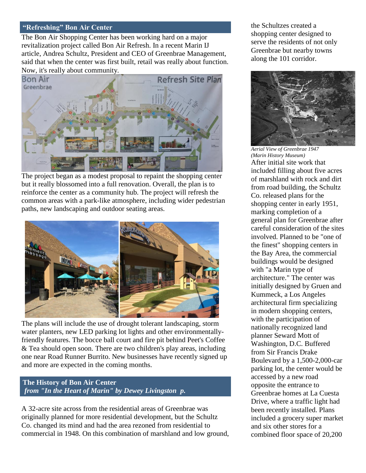#### **"Refreshing" Bon Air Center**

The Bon Air Shopping Center has been working hard on a major revitalization project called Bon Air Refresh. In a recent Marin IJ article, Andrea Schultz, President and CEO of Greenbrae Management, said that when the center was first built, retail was really about function. Now, it's really about community.



The project began as a modest proposal to repaint the shopping center but it really blossomed into a full renovation. Overall, the plan is to reinforce the center as a community hub. The project will refresh the common areas with a park-like atmosphere, including wider pedestrian paths, new landscaping and outdoor seating areas.



The plans will include the use of drought tolerant landscaping, storm water planters, new LED parking lot lights and other environmentallyfriendly features. The bocce ball court and fire pit behind Peet's Coffee & Tea should open soon. There are two children's play areas, including one near Road Runner Burrito. New businesses have recently signed up and more are expected in the coming months.

**The History of Bon Air Center** *from "In the Heart of Marin" by Dewey Livingston p.* 

A 32-acre site across from the residential areas of Greenbrae was originally planned for more residential development, but the Schultz Co. changed its mind and had the area rezoned from residential to commercial in 1948. On this combination of marshland and low ground, the Schultzes created a shopping center designed to serve the residents of not only Greenbrae but nearby towns along the 101 corridor.



*Aerial View of Greenbrae 1947 (Marin History Museum)* After initial site work that included filling about five acres of marshland with rock and dirt from road building, the Schultz Co. released plans for the shopping center in early 1951, marking completion of a general plan for Greenbrae after careful consideration of the sites involved. Planned to be "one of the finest" shopping centers in the Bay Area, the commercial buildings would be designed with "a Marin type of architecture." The center was initially designed by Gruen and Kummeck, a Los Angeles architectural firm specializing in modern shopping centers, with the participation of nationally recognized land planner Seward Mott of Washington, D.C. Buffered from Sir Francis Drake Boulevard by a 1,500-2,000-car parking lot, the center would be accessed by a new road opposite the entrance to Greenbrae homes at La Cuesta Drive, where a traffic light had been recently installed. Plans included a grocery super market and six other stores for a combined floor space of 20,200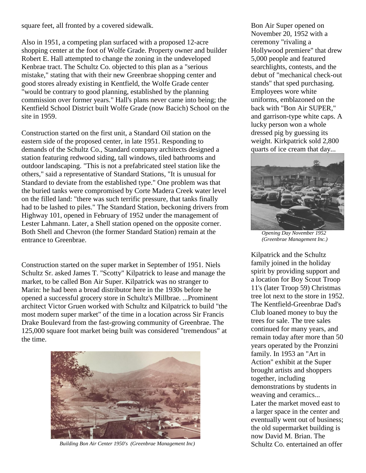square feet, all fronted by a covered sidewalk.

Also in 1951, a competing plan surfaced with a proposed 12-acre shopping center at the foot of Wolfe Grade. Property owner and builder Robert E. Hall attempted to change the zoning in the undeveloped Kenbrae tract. The Schultz Co. objected to this plan as a "serious mistake," stating that with their new Greenbrae shopping center and good stores already existing in Kentfield, the Wolfe Grade center "would be contrary to good planning, established by the planning commission over former years." Hall's plans never came into being; the Kentfield School District built Wolfe Grade (now Bacich) School on the site in 1959.

Construction started on the first unit, a Standard Oil station on the eastern side of the proposed center, in late 1951. Responding to demands of the Schultz Co., Standard company architects designed a station featuring redwood siding, tall windows, tiled bathrooms and outdoor landscaping. "This is not a prefabricated steel station like the others," said a representative of Standard Stations, "It is unusual for Standard to deviate from the established type." One problem was that the buried tanks were compromised by Corte Madera Creek water level on the filled land: "there was such terrific pressure, that tanks finally had to be lashed to piles." The Standard Station, beckoning drivers from Highway 101, opened in February of 1952 under the management of Lester Lahmann. Later, a Shell station opened on the opposite corner. Both Shell and Chevron (the former Standard Station) remain at the entrance to Greenbrae.

Construction started on the super market in September of 1951. Niels Schultz Sr. asked James T. "Scotty" Kilpatrick to lease and manage the market, to be called Bon Air Super. Kilpatrick was no stranger to Marin: he had been a bread distributor here in the 1930s before he opened a successful grocery store in Schultz's Millbrae. ...Prominent architect Victor Gruen worked with Schultz and Kilpatrick to build "the most modern super market" of the time in a location across Sir Francis Drake Boulevard from the fast-growing community of Greenbrae. The 125,000 square foot market being built was considered "tremendous" at the time.



*Building Bon Air Center 1950's (Greenbrae Management Inc)*

Bon Air Super opened on November 20, 1952 with a ceremony "rivaling a Hollywood premiere" that drew 5,000 people and featured searchlights, contests, and the debut of "mechanical check-out stands" that sped purchasing. Employees wore white uniforms, emblazoned on the back with "Bon Air SUPER," and garrison-type white caps. A lucky person won a whole dressed pig by guessing its weight. Kirkpatrick sold 2,800 quarts of ice cream that day...



 *Opening Day November 1952 (Greenbrae Management Inc.)*

Kilpatrick and the Schultz family joined in the holiday spirit by providing support and a location for Boy Scout Troop 11's (later Troop 59) Christmas tree lot next to the store in 1952. The Kentfield-Greenbrae Dad's Club loaned money to buy the trees for sale. The tree sales continued for many years, and remain today after more than 50 years operated by the Pronzini family. In 1953 an "Art in Action" exhibit at the Super brought artists and shoppers together, including demonstrations by students in weaving and ceramics... Later the market moved east to a larger space in the center and eventually went out of business; the old supermarket building is now David M. Brian. The Schultz Co. entertained an offer